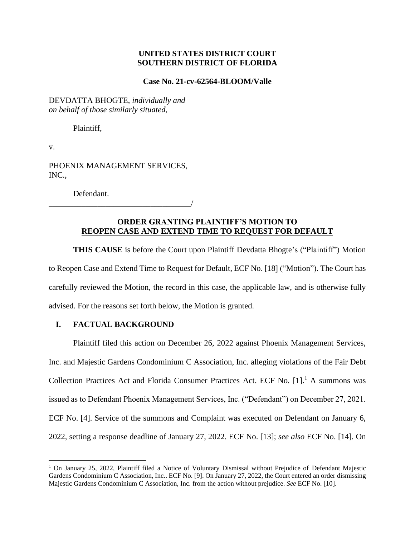### **UNITED STATES DISTRICT COURT SOUTHERN DISTRICT OF FLORIDA**

### **Case No. 21-cv-62564-BLOOM/Valle**

DEVDATTA BHOGTE, *individually and on behalf of those similarly situated*,

Plaintiff,

v.

PHOENIX MANAGEMENT SERVICES, INC.,

Defendant.

\_\_\_\_\_\_\_\_\_\_\_\_\_\_\_\_\_\_\_\_\_\_\_\_\_\_\_\_\_\_\_\_\_\_\_/

# **ORDER GRANTING PLAINTIFF'S MOTION TO REOPEN CASE AND EXTEND TIME TO REQUEST FOR DEFAULT**

**THIS CAUSE** is before the Court upon Plaintiff Devdatta Bhogte's ("Plaintiff") Motion to Reopen Case and Extend Time to Request for Default, ECF No. [18] ("Motion"). The Court has carefully reviewed the Motion, the record in this case, the applicable law, and is otherwise fully advised. For the reasons set forth below, the Motion is granted.

## **I. FACTUAL BACKGROUND**

Plaintiff filed this action on December 26, 2022 against Phoenix Management Services, Inc. and Majestic Gardens Condominium C Association, Inc. alleging violations of the Fair Debt Collection Practices Act and Florida Consumer Practices Act. ECF No.  $[1]$ .<sup>1</sup> A summons was issued as to Defendant Phoenix Management Services, Inc. ("Defendant") on December 27, 2021. ECF No. [4]. Service of the summons and Complaint was executed on Defendant on January 6, 2022, setting a response deadline of January 27, 2022. ECF No. [13]; *see also* ECF No. [14]. On

<sup>&</sup>lt;sup>1</sup> On January 25, 2022, Plaintiff filed a Notice of Voluntary Dismissal without Prejudice of Defendant Majestic Gardens Condominium C Association, Inc.. ECF No. [9]. On January 27, 2022, the Court entered an order dismissing Majestic Gardens Condominium C Association, Inc. from the action without prejudice. *See* ECF No. [10].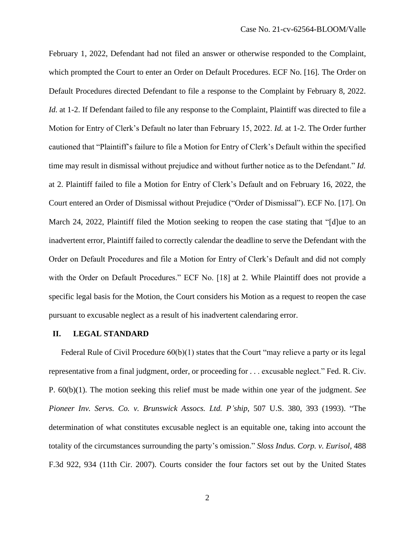February 1, 2022, Defendant had not filed an answer or otherwise responded to the Complaint, which prompted the Court to enter an Order on Default Procedures. ECF No. [16]. The Order on Default Procedures directed Defendant to file a response to the Complaint by February 8, 2022. *Id.* at 1-2. If Defendant failed to file any response to the Complaint, Plaintiff was directed to file a Motion for Entry of Clerk's Default no later than February 15, 2022. *Id.* at 1-2. The Order further cautioned that "Plaintiff's failure to file a Motion for Entry of Clerk's Default within the specified time may result in dismissal without prejudice and without further notice as to the Defendant." *Id.* at 2. Plaintiff failed to file a Motion for Entry of Clerk's Default and on February 16, 2022, the Court entered an Order of Dismissal without Prejudice ("Order of Dismissal"). ECF No. [17]. On March 24, 2022, Plaintiff filed the Motion seeking to reopen the case stating that "[d]ue to an inadvertent error, Plaintiff failed to correctly calendar the deadline to serve the Defendant with the Order on Default Procedures and file a Motion for Entry of Clerk's Default and did not comply with the Order on Default Procedures." ECF No. [18] at 2. While Plaintiff does not provide a specific legal basis for the Motion, the Court considers his Motion as a request to reopen the case pursuant to excusable neglect as a result of his inadvertent calendaring error.

#### **II. LEGAL STANDARD**

Federal Rule of Civil Procedure 60(b)(1) states that the Court "may relieve a party or its legal representative from a final judgment, order, or proceeding for . . . excusable neglect." Fed. R. Civ. P. 60(b)(1). The motion seeking this relief must be made within one year of the judgment. *See Pioneer Inv. Servs. Co. v. Brunswick Assocs. Ltd. P'ship*, 507 U.S. 380, 393 (1993). "The determination of what constitutes excusable neglect is an equitable one, taking into account the totality of the circumstances surrounding the party's omission." *Sloss Indus. Corp. v. Eurisol*, 488 F.3d 922, 934 (11th Cir. 2007). Courts consider the four factors set out by the United States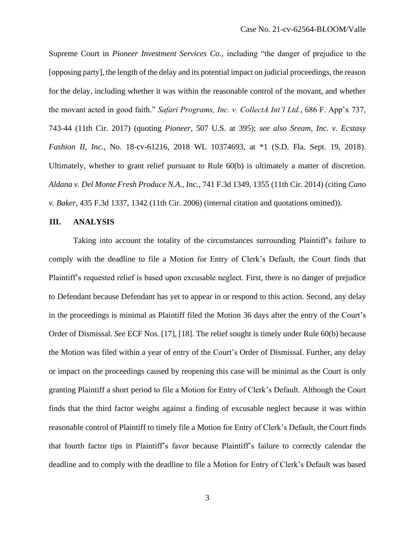Supreme Court in *Pioneer Investment Services Co.*, including "the danger of prejudice to the [opposing party], the length of the delay and its potential impact on judicial proceedings, the reason for the delay, including whether it was within the reasonable control of the movant, and whether the movant acted in good faith." *Safari Programs, Inc. v. CollectA Int'l Ltd.*, 686 F. App'x 737, 743-44 (11th Cir. 2017) (quoting *Pioneer*, 507 U.S. at 395); *see also Sream, Inc. v. Ecstasy Fashion II, Inc.*, No. 18-cv-61216, 2018 WL 10374693, at \*1 (S.D. Fla. Sept. 19, 2018). Ultimately, whether to grant relief pursuant to Rule 60(b) is ultimately a matter of discretion. *Aldana v. Del Monte Fresh Produce N.A., Inc.*, 741 F.3d 1349, 1355 (11th Cir. 2014) (citing *Cano v. Baker*, 435 F.3d 1337, 1342 (11th Cir. 2006) (internal citation and quotations omitted)).

#### **III. ANALYSIS**

Taking into account the totality of the circumstances surrounding Plaintiff's failure to comply with the deadline to file a Motion for Entry of Clerk's Default, the Court finds that Plaintiff's requested relief is based upon excusable neglect. First, there is no danger of prejudice to Defendant because Defendant has yet to appear in or respond to this action. Second, any delay in the proceedings is minimal as Plaintiff filed the Motion 36 days after the entry of the Court's Order of Dismissal. *See* ECF Nos. [17], [18]. The relief sought is timely under Rule 60(b) because the Motion was filed within a year of entry of the Court's Order of Dismissal. Further, any delay or impact on the proceedings caused by reopening this case will be minimal as the Court is only granting Plaintiff a short period to file a Motion for Entry of Clerk's Default. Although the Court finds that the third factor weighs against a finding of excusable neglect because it was within reasonable control of Plaintiff to timely file a Motion for Entry of Clerk's Default, the Court finds that fourth factor tips in Plaintiff's favor because Plaintiff's failure to correctly calendar the deadline and to comply with the deadline to file a Motion for Entry of Clerk's Default was based